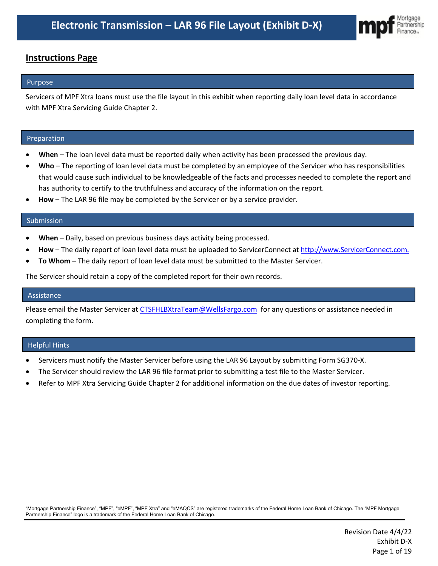

## **Instructions Page**

## Purpose

Servicers of MPF Xtra loans must use the file layout in this exhibit when reporting daily loan level data in accordance with MPF Xtra Servicing Guide Chapter 2.

## Preparation

- **When**  The loan level data must be reported daily when activity has been processed the previous day.
- **Who** The reporting of loan level data must be completed by an employee of the Servicer who has responsibilities that would cause such individual to be knowledgeable of the facts and processes needed to complete the report and has authority to certify to the truthfulness and accuracy of the information on the report.
- How The LAR 96 file may be completed by the Servicer or by a service provider.

#### Submission

- **When** Daily, based on previous business days activity being processed.
- **How** The daily report of loan level data must be uploaded to ServicerConnect at http://www.ServicerConnect.com.
- **To Whom** The daily report of loan level data must be submitted to the Master Servicer.

The Servicer should retain a copy of the completed report for their own records.

#### Assistance

Please email the Master Servicer at [CTSFHLBXtraTeam@WellsFargo.com](mailto:CTSFHLBLoanAccountingTeam@WellsFargo.com) for any questions or assistance needed in completing the form.

#### Helpful Hints

- Servicers must notify the Master Servicer before using the LAR 96 Layout by submitting Form SG370-X.
- The Servicer should review the LAR 96 file format prior to submitting a test file to the Master Servicer.
- Refer to MPF Xtra Servicing Guide Chapter 2 for additional information on the due dates of investor reporting.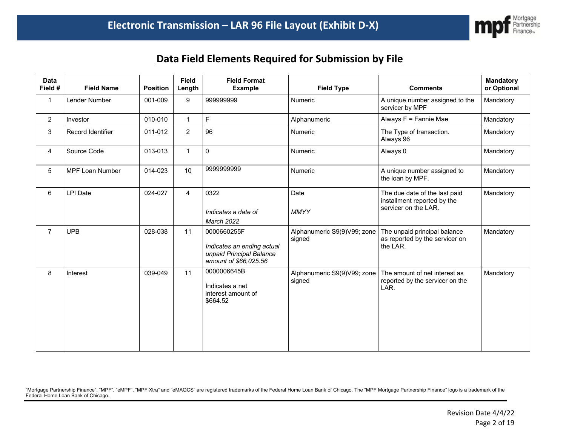

# **Data Field Elements Required for Submission by File**

| <b>Data</b><br>Field # | <b>Field Name</b>      | <b>Position</b> | <b>Field</b><br>Length | <b>Field Format</b><br><b>Example</b>                                                          | <b>Field Type</b>                     | <b>Comments</b>                                                                      | <b>Mandatory</b><br>or Optional |
|------------------------|------------------------|-----------------|------------------------|------------------------------------------------------------------------------------------------|---------------------------------------|--------------------------------------------------------------------------------------|---------------------------------|
| $\mathbf{1}$           | Lender Number          | 001-009         | 9                      | 999999999                                                                                      | Numeric                               | A unique number assigned to the<br>servicer by MPF                                   | Mandatory                       |
| $\overline{2}$         | Investor               | 010-010         | $\mathbf{1}$           | $\mathsf F$                                                                                    | Alphanumeric                          | Always F = Fannie Mae                                                                | Mandatory                       |
| 3                      | Record Identifier      | 011-012         | $\overline{2}$         | 96                                                                                             | Numeric                               | The Type of transaction.<br>Always 96                                                | Mandatory                       |
| $\overline{4}$         | Source Code            | 013-013         | $\mathbf{1}$           | 0                                                                                              | Numeric                               | Always 0                                                                             | Mandatory                       |
| 5                      | <b>MPF Loan Number</b> | 014-023         | 10                     | 9999999999                                                                                     | Numeric                               | A unique number assigned to<br>the loan by MPF.                                      | Mandatory                       |
| 6                      | <b>LPI Date</b>        | 024-027         | $\overline{4}$         | 0322<br>Indicates a date of<br>March 2022                                                      | Date<br><b>MMYY</b>                   | The due date of the last paid<br>installment reported by the<br>servicer on the LAR. | Mandatory                       |
| $\overline{7}$         | <b>UPB</b>             | 028-038         | 11                     | 0000660255F<br>Indicates an ending actual<br>unpaid Principal Balance<br>amount of \$66,025.56 | Alphanumeric S9(9)V99; zone<br>signed | The unpaid principal balance<br>as reported by the servicer on<br>the LAR.           | Mandatory                       |
| 8                      | Interest               | 039-049         | 11                     | 0000006645B<br>Indicates a net<br>interest amount of<br>\$664.52                               | Alphanumeric S9(9)V99; zone<br>signed | The amount of net interest as<br>reported by the servicer on the<br>LAR.             | Mandatory                       |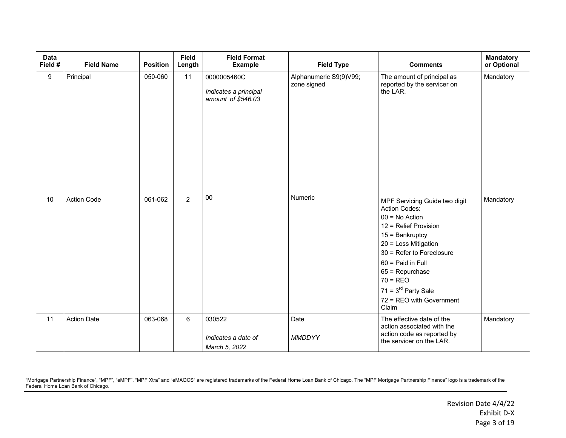| <b>Data</b><br>Field # | <b>Field Name</b>  | <b>Position</b> | <b>Field</b><br>Length | <b>Field Format</b><br><b>Example</b>                      | <b>Field Type</b>                     | <b>Comments</b>                                                                                                                                                                                                                                                                             | <b>Mandatory</b><br>or Optional |
|------------------------|--------------------|-----------------|------------------------|------------------------------------------------------------|---------------------------------------|---------------------------------------------------------------------------------------------------------------------------------------------------------------------------------------------------------------------------------------------------------------------------------------------|---------------------------------|
| 9                      | Principal          | 050-060         | 11                     | 0000005460C<br>Indicates a principal<br>amount of \$546.03 | Alphanumeric S9(9)V99;<br>zone signed | The amount of principal as<br>reported by the servicer on<br>the LAR.                                                                                                                                                                                                                       | Mandatory                       |
| 10                     | <b>Action Code</b> | 061-062         | $\overline{2}$         | $\overline{00}$                                            | Numeric                               | MPF Servicing Guide two digit<br>Action Codes:<br>$00 = No$ Action<br>12 = Relief Provision<br>$15 =$ Bankruptcy<br>20 = Loss Mitigation<br>30 = Refer to Foreclosure<br>60 = Paid in Full<br>$65$ = Repurchase<br>$70 = REO$<br>$71 = 3rd$ Party Sale<br>72 = REO with Government<br>Claim | Mandatory                       |
| 11                     | <b>Action Date</b> | 063-068         | 6                      | 030522<br>Indicates a date of<br>March 5, 2022             | Date<br><b>MMDDYY</b>                 | The effective date of the<br>action associated with the<br>action code as reported by<br>the servicer on the LAR.                                                                                                                                                                           | Mandatory                       |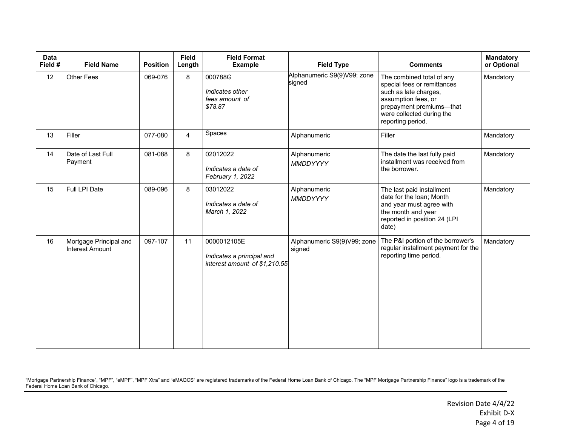| Data<br>Field # | <b>Field Name</b>                                | <b>Position</b> | <b>Field</b><br>Length | <b>Field Format</b><br><b>Example</b>                                     | <b>Field Type</b>                     | <b>Comments</b>                                                                                                                                                                        | <b>Mandatory</b><br>or Optional |
|-----------------|--------------------------------------------------|-----------------|------------------------|---------------------------------------------------------------------------|---------------------------------------|----------------------------------------------------------------------------------------------------------------------------------------------------------------------------------------|---------------------------------|
| 12              | <b>Other Fees</b>                                | 069-076         | 8                      | 000788G<br>Indicates other<br>fees amount of<br>\$78.87                   | Alphanumeric S9(9)V99; zone<br>signed | The combined total of any<br>special fees or remittances<br>such as late charges,<br>assumption fees, or<br>prepayment premiums-that<br>were collected during the<br>reporting period. | Mandatory                       |
| 13              | Filler                                           | 077-080         | $\overline{4}$         | Spaces                                                                    | Alphanumeric                          | Filler                                                                                                                                                                                 | Mandatory                       |
| 14              | Date of Last Full<br>Payment                     | 081-088         | 8                      | 02012022<br>Indicates a date of<br>February 1, 2022                       | Alphanumeric<br>MMDDYYYY              | The date the last fully paid<br>installment was received from<br>the borrower.                                                                                                         | Mandatory                       |
| 15              | Full LPI Date                                    | 089-096         | 8                      | 03012022<br>Indicates a date of<br>March 1, 2022                          | Alphanumeric<br>MMDDYYYY              | The last paid installment<br>date for the loan; Month<br>and year must agree with<br>the month and year<br>reported in position 24 (LPI<br>date)                                       | Mandatory                       |
| 16              | Mortgage Principal and<br><b>Interest Amount</b> | 097-107         | 11                     | 0000012105E<br>Indicates a principal and<br>interest amount of \$1,210.55 | Alphanumeric S9(9)V99; zone<br>signed | The P&I portion of the borrower's<br>regular installment payment for the<br>reporting time period.                                                                                     | Mandatory                       |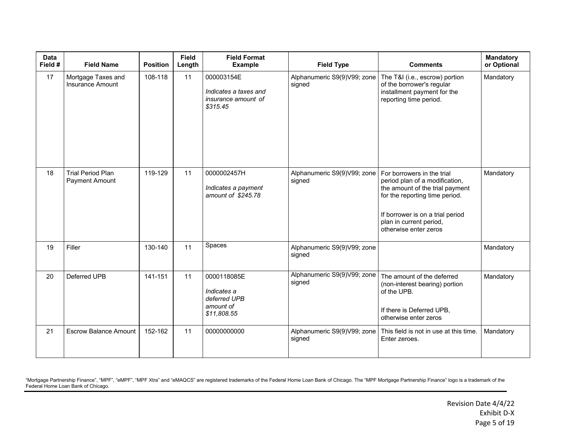| <b>Data</b><br>Field # | <b>Field Name</b>                             | <b>Position</b> | <b>Field</b><br>Length | <b>Field Format</b><br><b>Example</b>                                  | <b>Field Type</b>                     | <b>Comments</b>                                                                                                                                                                                                           | <b>Mandatory</b><br>or Optional |
|------------------------|-----------------------------------------------|-----------------|------------------------|------------------------------------------------------------------------|---------------------------------------|---------------------------------------------------------------------------------------------------------------------------------------------------------------------------------------------------------------------------|---------------------------------|
| 17                     | Mortgage Taxes and<br><b>Insurance Amount</b> | 108-118         | 11                     | 000003154E<br>Indicates a taxes and<br>insurance amount of<br>\$315.45 | Alphanumeric S9(9)V99; zone<br>signed | The T&I (i.e., escrow) portion<br>of the borrower's regular<br>installment payment for the<br>reporting time period.                                                                                                      | Mandatory                       |
| 18                     | <b>Trial Period Plan</b><br>Payment Amount    | 119-129         | 11                     | 0000002457H<br>Indicates a payment<br>amount of \$245.78               | Alphanumeric S9(9)V99; zone<br>signed | For borrowers in the trial<br>period plan of a modification,<br>the amount of the trial payment<br>for the reporting time period.<br>If borrower is on a trial period<br>plan in current period,<br>otherwise enter zeros | Mandatory                       |
| 19                     | Filler                                        | 130-140         | 11                     | Spaces                                                                 | Alphanumeric S9(9)V99; zone<br>signed |                                                                                                                                                                                                                           | Mandatory                       |
| 20                     | Deferred UPB                                  | 141-151         | 11                     | 0000118085E<br>Indicates a<br>deferred UPB<br>amount of<br>\$11,808.55 | Alphanumeric S9(9)V99; zone<br>signed | The amount of the deferred<br>(non-interest bearing) portion<br>of the UPB.<br>If there is Deferred UPB,<br>otherwise enter zeros                                                                                         | Mandatory                       |
| 21                     | <b>Escrow Balance Amount</b>                  | 152-162         | 11                     | 00000000000                                                            | Alphanumeric S9(9)V99; zone<br>signed | This field is not in use at this time.<br>Enter zeroes.                                                                                                                                                                   | Mandatory                       |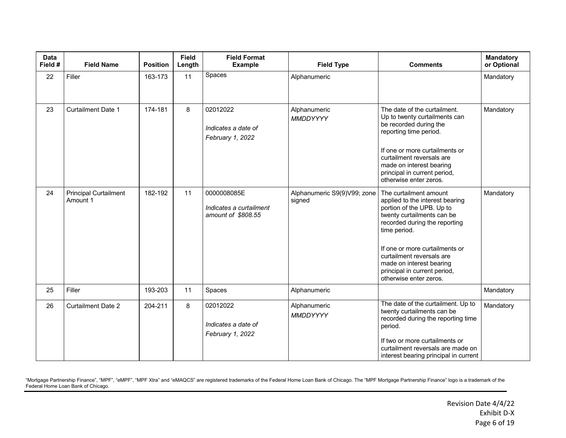| <b>Data</b><br>Field # | <b>Field Name</b>                        | <b>Position</b> | <b>Field</b><br>Length | <b>Field Format</b><br><b>Example</b>                        | <b>Field Type</b>                     | <b>Comments</b>                                                                                                                                                                                                                                                                                                            | <b>Mandatory</b><br>or Optional |
|------------------------|------------------------------------------|-----------------|------------------------|--------------------------------------------------------------|---------------------------------------|----------------------------------------------------------------------------------------------------------------------------------------------------------------------------------------------------------------------------------------------------------------------------------------------------------------------------|---------------------------------|
| 22                     | Filler                                   | 163-173         | 11                     | Spaces                                                       | Alphanumeric                          |                                                                                                                                                                                                                                                                                                                            | Mandatory                       |
| 23                     | <b>Curtailment Date 1</b>                | 174-181         | 8                      | 02012022<br>Indicates a date of<br>February 1, 2022          | Alphanumeric<br>MMDDYYYY              | The date of the curtailment.<br>Up to twenty curtailments can<br>be recorded during the<br>reporting time period.<br>If one or more curtailments or<br>curtailment reversals are<br>made on interest bearing<br>principal in current period,<br>otherwise enter zeros.                                                     | Mandatory                       |
| 24                     | <b>Principal Curtailment</b><br>Amount 1 | 182-192         | 11                     | 0000008085E<br>Indicates a curtailment<br>amount of \$808.55 | Alphanumeric S9(9)V99; zone<br>signed | The curtailment amount<br>applied to the interest bearing<br>portion of the UPB. Up to<br>twenty curtailments can be<br>recorded during the reporting<br>time period.<br>If one or more curtailments or<br>curtailment reversals are<br>made on interest bearing<br>principal in current period,<br>otherwise enter zeros. | Mandatory                       |
| 25                     | Filler                                   | 193-203         | 11                     | Spaces                                                       | Alphanumeric                          |                                                                                                                                                                                                                                                                                                                            | Mandatory                       |
| 26                     | <b>Curtailment Date 2</b>                | 204-211         | 8                      | 02012022<br>Indicates a date of<br>February 1, 2022          | Alphanumeric<br>MMDDYYYY              | The date of the curtailment. Up to<br>twenty curtailments can be<br>recorded during the reporting time<br>period.<br>If two or more curtailments or<br>curtailment reversals are made on<br>interest bearing principal in current                                                                                          | Mandatory                       |

I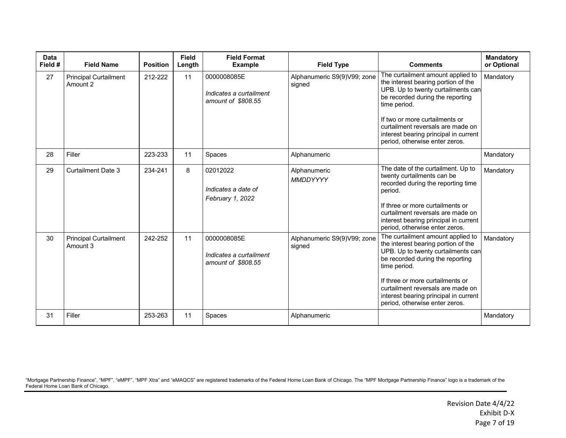| <b>Data</b><br>Field # | <b>Field Name</b>                        | <b>Position</b> | <b>Field</b><br>Length | <b>Field Format</b><br><b>Example</b>                        | <b>Field Type</b>                     | <b>Comments</b>                                                                                                                                                                                                                                                                                                        | <b>Mandatory</b><br>or Optional |
|------------------------|------------------------------------------|-----------------|------------------------|--------------------------------------------------------------|---------------------------------------|------------------------------------------------------------------------------------------------------------------------------------------------------------------------------------------------------------------------------------------------------------------------------------------------------------------------|---------------------------------|
| 27                     | <b>Principal Curtailment</b><br>Amount 2 | 212-222         | 11                     | 0000008085E<br>Indicates a curtailment<br>amount of \$808.55 | Alphanumeric S9(9)V99; zone<br>signed | The curtailment amount applied to<br>the interest bearing portion of the<br>UPB. Up to twenty curtailments can<br>be recorded during the reporting<br>time period.<br>If two or more curtailments or<br>curtailment reversals are made on<br>interest bearing principal in current<br>period, otherwise enter zeros.   | Mandatory                       |
| 28                     | Filler                                   | 223-233         | 11                     | Spaces                                                       | Alphanumeric                          |                                                                                                                                                                                                                                                                                                                        | Mandatory                       |
| 29                     | <b>Curtailment Date 3</b>                | 234-241         | 8                      | 02012022<br>Indicates a date of<br>February 1, 2022          | Alphanumeric<br>MMDDYYYY              | The date of the curtailment. Up to<br>twenty curtailments can be<br>recorded during the reporting time<br>period.<br>If three or more curtailments or<br>curtailment reversals are made on<br>interest bearing principal in current<br>period, otherwise enter zeros.                                                  | Mandatory                       |
| 30                     | <b>Principal Curtailment</b><br>Amount 3 | 242-252         | 11                     | 0000008085E<br>Indicates a curtailment<br>amount of \$808.55 | Alphanumeric S9(9)V99; zone<br>signed | The curtailment amount applied to<br>the interest bearing portion of the<br>UPB. Up to twenty curtailments can<br>be recorded during the reporting<br>time period.<br>If three or more curtailments or<br>curtailment reversals are made on<br>interest bearing principal in current<br>period, otherwise enter zeros. | Mandatory                       |
| 31                     | Filler                                   | 253-263         | 11                     | Spaces                                                       | Alphanumeric                          |                                                                                                                                                                                                                                                                                                                        | Mandatory                       |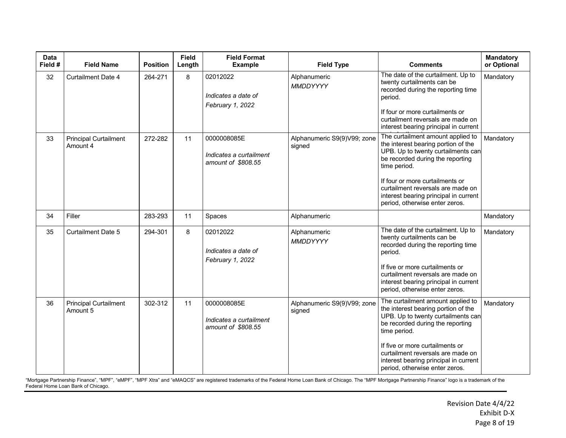| <b>Data</b><br>Field # | <b>Field Name</b>                        | <b>Position</b> | <b>Field</b><br>Length | <b>Field Format</b><br><b>Example</b>                        | <b>Field Type</b>                     | <b>Comments</b>                                                                                                                                                                                                                                                                                                       | Mandatory<br>or Optional |
|------------------------|------------------------------------------|-----------------|------------------------|--------------------------------------------------------------|---------------------------------------|-----------------------------------------------------------------------------------------------------------------------------------------------------------------------------------------------------------------------------------------------------------------------------------------------------------------------|--------------------------|
| 32                     | <b>Curtailment Date 4</b>                | 264-271         | 8                      | 02012022<br>Indicates a date of<br>February 1, 2022          | Alphanumeric<br><b>MMDDYYYY</b>       | The date of the curtailment. Up to<br>twenty curtailments can be<br>recorded during the reporting time<br>period.<br>If four or more curtailments or<br>curtailment reversals are made on<br>interest bearing principal in current                                                                                    | Mandatory                |
| 33                     | <b>Principal Curtailment</b><br>Amount 4 | 272-282         | 11                     | 0000008085E<br>Indicates a curtailment<br>amount of \$808.55 | Alphanumeric S9(9)V99; zone<br>signed | The curtailment amount applied to<br>the interest bearing portion of the<br>UPB. Up to twenty curtailments can<br>be recorded during the reporting<br>time period.<br>If four or more curtailments or<br>curtailment reversals are made on<br>interest bearing principal in current<br>period, otherwise enter zeros. | Mandatory                |
| 34                     | Filler                                   | 283-293         | 11                     | Spaces                                                       | Alphanumeric                          |                                                                                                                                                                                                                                                                                                                       | Mandatory                |
| 35                     | <b>Curtailment Date 5</b>                | 294-301         | 8                      | 02012022<br>Indicates a date of<br>February 1, 2022          | Alphanumeric<br>MMDDYYYY              | The date of the curtailment. Up to<br>twenty curtailments can be<br>recorded during the reporting time<br>period.<br>If five or more curtailments or<br>curtailment reversals are made on<br>interest bearing principal in current<br>period, otherwise enter zeros.                                                  | Mandatory                |
| 36                     | <b>Principal Curtailment</b><br>Amount 5 | 302-312         | 11                     | 0000008085E<br>Indicates a curtailment<br>amount of \$808.55 | Alphanumeric S9(9)V99; zone<br>signed | The curtailment amount applied to<br>the interest bearing portion of the<br>UPB. Up to twenty curtailments can<br>be recorded during the reporting<br>time period.<br>If five or more curtailments or<br>curtailment reversals are made on<br>interest bearing principal in current<br>period, otherwise enter zeros. | Mandatory                |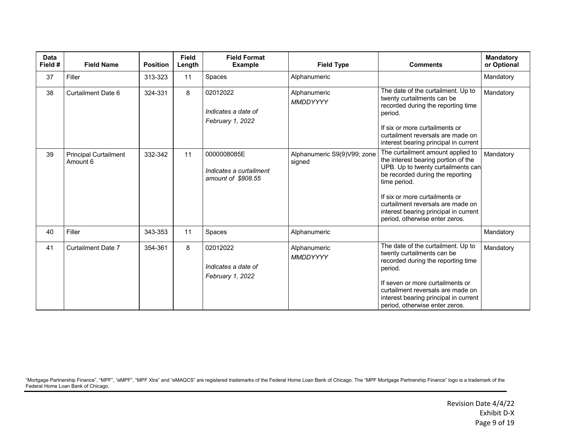| <b>Data</b><br>Field # | <b>Field Name</b>                        | <b>Position</b> | <b>Field</b><br>Length | <b>Field Format</b><br><b>Example</b>                        | <b>Field Type</b>                     | <b>Comments</b>                                                                                                                                                                                                                                                                                                      | Mandatory<br>or Optional |
|------------------------|------------------------------------------|-----------------|------------------------|--------------------------------------------------------------|---------------------------------------|----------------------------------------------------------------------------------------------------------------------------------------------------------------------------------------------------------------------------------------------------------------------------------------------------------------------|--------------------------|
| 37                     | Filler                                   | 313-323         | 11                     | Spaces                                                       | Alphanumeric                          |                                                                                                                                                                                                                                                                                                                      | Mandatory                |
| 38                     | <b>Curtailment Date 6</b>                | 324-331         | 8                      | 02012022<br>Indicates a date of<br>February 1, 2022          | Alphanumeric<br>MMDDYYYY              | The date of the curtailment. Up to<br>twenty curtailments can be<br>recorded during the reporting time<br>period.<br>If six or more curtailments or<br>curtailment reversals are made on<br>interest bearing principal in current                                                                                    | Mandatory                |
| 39                     | <b>Principal Curtailment</b><br>Amount 6 | 332-342         | 11                     | 0000008085E<br>Indicates a curtailment<br>amount of \$808.55 | Alphanumeric S9(9)V99; zone<br>signed | The curtailment amount applied to<br>the interest bearing portion of the<br>UPB. Up to twenty curtailments can<br>be recorded during the reporting<br>time period.<br>If six or more curtailments or<br>curtailment reversals are made on<br>interest bearing principal in current<br>period, otherwise enter zeros. | Mandatory                |
| 40                     | Filler                                   | 343-353         | 11                     | Spaces                                                       | Alphanumeric                          |                                                                                                                                                                                                                                                                                                                      | Mandatory                |
| 41                     | <b>Curtailment Date 7</b>                | 354-361         | 8                      | 02012022<br>Indicates a date of<br>February 1, 2022          | Alphanumeric<br>MMDDYYYY              | The date of the curtailment. Up to<br>twenty curtailments can be<br>recorded during the reporting time<br>period.<br>If seven or more curtailments or<br>curtailment reversals are made on<br>interest bearing principal in current<br>period, otherwise enter zeros.                                                | Mandatory                |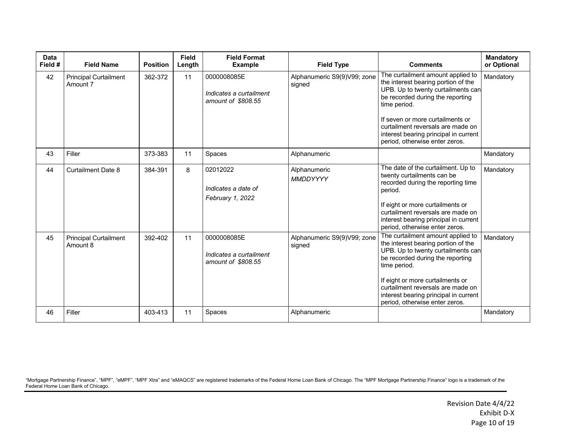| <b>Data</b><br>Field # | <b>Field Name</b>                        | <b>Position</b> | <b>Field</b><br>Length | <b>Field Format</b><br><b>Example</b>                        | <b>Field Type</b>                     | <b>Comments</b>                                                                                                                                                                                                                                                                                                        | <b>Mandatory</b><br>or Optional |
|------------------------|------------------------------------------|-----------------|------------------------|--------------------------------------------------------------|---------------------------------------|------------------------------------------------------------------------------------------------------------------------------------------------------------------------------------------------------------------------------------------------------------------------------------------------------------------------|---------------------------------|
| 42                     | <b>Principal Curtailment</b><br>Amount 7 | 362-372         | 11                     | 0000008085E<br>Indicates a curtailment<br>amount of \$808.55 | Alphanumeric S9(9)V99; zone<br>signed | The curtailment amount applied to<br>the interest bearing portion of the<br>UPB. Up to twenty curtailments can<br>be recorded during the reporting<br>time period.<br>If seven or more curtailments or<br>curtailment reversals are made on<br>interest bearing principal in current<br>period, otherwise enter zeros. | Mandatory                       |
| 43                     | Filler                                   | 373-383         | 11                     | Spaces                                                       | Alphanumeric                          |                                                                                                                                                                                                                                                                                                                        | Mandatory                       |
| 44                     | <b>Curtailment Date 8</b>                | 384-391         | 8                      | 02012022<br>Indicates a date of<br>February 1, 2022          | Alphanumeric<br>MMDDYYYY              | The date of the curtailment. Up to<br>twenty curtailments can be<br>recorded during the reporting time<br>period.<br>If eight or more curtailments or<br>curtailment reversals are made on<br>interest bearing principal in current<br>period, otherwise enter zeros.                                                  | Mandatory                       |
| 45                     | <b>Principal Curtailment</b><br>Amount 8 | 392-402         | 11                     | 0000008085E<br>Indicates a curtailment<br>amount of \$808.55 | Alphanumeric S9(9)V99; zone<br>signed | The curtailment amount applied to<br>the interest bearing portion of the<br>UPB. Up to twenty curtailments can<br>be recorded during the reporting<br>time period.<br>If eight or more curtailments or<br>curtailment reversals are made on<br>interest bearing principal in current<br>period, otherwise enter zeros. | Mandatory                       |
| 46                     | Filler                                   | 403-413         | 11                     | Spaces                                                       | Alphanumeric                          |                                                                                                                                                                                                                                                                                                                        | Mandatory                       |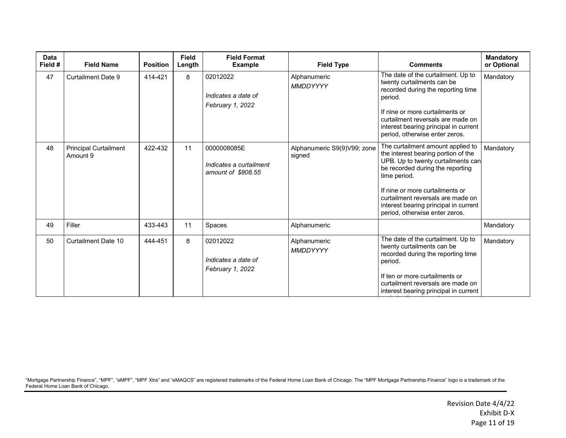| Data<br>Field # | <b>Field Name</b>                        | <b>Position</b> | <b>Field</b><br>Length | <b>Field Format</b><br><b>Example</b>                        | <b>Field Type</b>                     | <b>Comments</b>                                                                                                                                                                                                                                                                                                       | <b>Mandatory</b><br>or Optional |
|-----------------|------------------------------------------|-----------------|------------------------|--------------------------------------------------------------|---------------------------------------|-----------------------------------------------------------------------------------------------------------------------------------------------------------------------------------------------------------------------------------------------------------------------------------------------------------------------|---------------------------------|
| 47              | <b>Curtailment Date 9</b>                | 414-421         | 8                      | 02012022<br>Indicates a date of<br>February 1, 2022          | Alphanumeric<br>MMDDYYYY              | The date of the curtailment. Up to<br>twenty curtailments can be<br>recorded during the reporting time<br>period.<br>If nine or more curtailments or<br>curtailment reversals are made on<br>interest bearing principal in current<br>period, otherwise enter zeros.                                                  | Mandatory                       |
| 48              | <b>Principal Curtailment</b><br>Amount 9 | 422-432         | 11                     | 0000008085E<br>Indicates a curtailment<br>amount of \$808.55 | Alphanumeric S9(9)V99; zone<br>signed | The curtailment amount applied to<br>the interest bearing portion of the<br>UPB. Up to twenty curtailments can<br>be recorded during the reporting<br>time period.<br>If nine or more curtailments or<br>curtailment reversals are made on<br>interest bearing principal in current<br>period, otherwise enter zeros. | Mandatory                       |
| 49              | Filler                                   | 433-443         | 11                     | Spaces                                                       | Alphanumeric                          |                                                                                                                                                                                                                                                                                                                       | Mandatory                       |
| 50              | Curtailment Date 10                      | 444-451         | 8                      | 02012022<br>Indicates a date of<br>February 1, 2022          | Alphanumeric<br>MMDDYYYY              | The date of the curtailment. Up to<br>twenty curtailments can be<br>recorded during the reporting time<br>period.<br>If ten or more curtailments or<br>curtailment reversals are made on<br>interest bearing principal in current                                                                                     | Mandatory                       |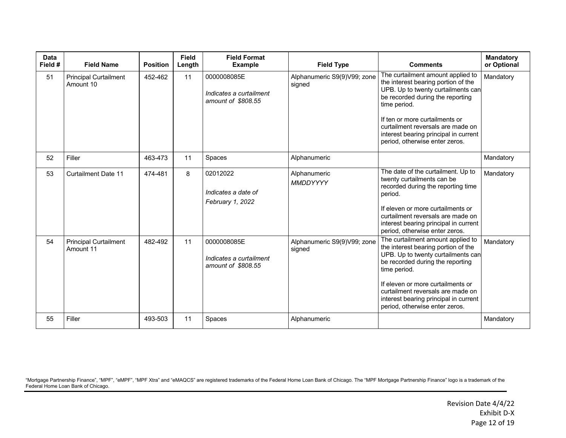| <b>Data</b><br>Field # | <b>Field Name</b>                         | <b>Position</b> | <b>Field</b><br>Length | <b>Field Format</b><br><b>Example</b>                        | <b>Field Type</b>                     | <b>Comments</b>                                                                                                                                                                                                                                                                                                         | <b>Mandatory</b><br>or Optional |
|------------------------|-------------------------------------------|-----------------|------------------------|--------------------------------------------------------------|---------------------------------------|-------------------------------------------------------------------------------------------------------------------------------------------------------------------------------------------------------------------------------------------------------------------------------------------------------------------------|---------------------------------|
| 51                     | <b>Principal Curtailment</b><br>Amount 10 | 452-462         | 11                     | 0000008085E<br>Indicates a curtailment<br>amount of \$808.55 | Alphanumeric S9(9)V99; zone<br>signed | The curtailment amount applied to<br>the interest bearing portion of the<br>UPB. Up to twenty curtailments can<br>be recorded during the reporting<br>time period.<br>If ten or more curtailments or<br>curtailment reversals are made on<br>interest bearing principal in current<br>period, otherwise enter zeros.    | Mandatory                       |
| 52                     | Filler                                    | 463-473         | 11                     | Spaces                                                       | Alphanumeric                          |                                                                                                                                                                                                                                                                                                                         | Mandatory                       |
| 53                     | <b>Curtailment Date 11</b>                | 474-481         | 8                      | 02012022<br>Indicates a date of<br>February 1, 2022          | Alphanumeric<br>MMDDYYYY              | The date of the curtailment. Up to<br>twenty curtailments can be<br>recorded during the reporting time<br>period.<br>If eleven or more curtailments or<br>curtailment reversals are made on<br>interest bearing principal in current<br>period, otherwise enter zeros.                                                  | Mandatory                       |
| 54                     | <b>Principal Curtailment</b><br>Amount 11 | 482-492         | 11                     | 0000008085E<br>Indicates a curtailment<br>amount of \$808.55 | Alphanumeric S9(9)V99; zone<br>signed | The curtailment amount applied to<br>the interest bearing portion of the<br>UPB. Up to twenty curtailments can<br>be recorded during the reporting<br>time period.<br>If eleven or more curtailments or<br>curtailment reversals are made on<br>interest bearing principal in current<br>period, otherwise enter zeros. | Mandatory                       |
| 55                     | Filler                                    | 493-503         | 11                     | Spaces                                                       | Alphanumeric                          |                                                                                                                                                                                                                                                                                                                         | Mandatory                       |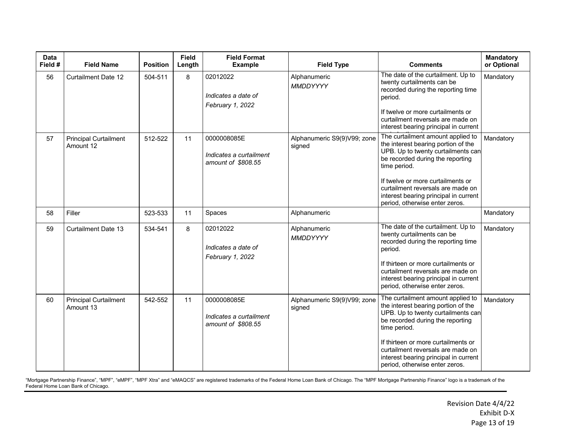| <b>Data</b><br>Field # | <b>Field Name</b>                         | <b>Position</b> | <b>Field</b><br>Length | <b>Field Format</b><br><b>Example</b>                        | <b>Field Type</b>                     | <b>Comments</b>                                                                                                                                                                                                                                                                                                           | <b>Mandatory</b><br>or Optional |
|------------------------|-------------------------------------------|-----------------|------------------------|--------------------------------------------------------------|---------------------------------------|---------------------------------------------------------------------------------------------------------------------------------------------------------------------------------------------------------------------------------------------------------------------------------------------------------------------------|---------------------------------|
| 56                     | <b>Curtailment Date 12</b>                | 504-511         | 8                      | 02012022<br>Indicates a date of<br>February 1, 2022          | Alphanumeric<br>MMDDYYYY              | The date of the curtailment. Up to<br>twenty curtailments can be<br>recorded during the reporting time<br>period.<br>If twelve or more curtailments or<br>curtailment reversals are made on<br>interest bearing principal in current                                                                                      | Mandatory                       |
| 57                     | <b>Principal Curtailment</b><br>Amount 12 | 512-522         | 11                     | 0000008085E<br>Indicates a curtailment<br>amount of \$808.55 | Alphanumeric S9(9)V99; zone<br>signed | The curtailment amount applied to<br>the interest bearing portion of the<br>UPB. Up to twenty curtailments can<br>be recorded during the reporting<br>time period.<br>If twelve or more curtailments or<br>curtailment reversals are made on<br>interest bearing principal in current<br>period, otherwise enter zeros.   | Mandatory                       |
| 58                     | Filler                                    | 523-533         | 11                     | Spaces                                                       | Alphanumeric                          |                                                                                                                                                                                                                                                                                                                           | Mandatory                       |
| 59                     | <b>Curtailment Date 13</b>                | 534-541         | 8                      | 02012022<br>Indicates a date of<br>February 1, 2022          | Alphanumeric<br>MMDDYYYY              | The date of the curtailment. Up to<br>twenty curtailments can be<br>recorded during the reporting time<br>period.<br>If thirteen or more curtailments or<br>curtailment reversals are made on<br>interest bearing principal in current<br>period, otherwise enter zeros.                                                  | Mandatory                       |
| 60                     | <b>Principal Curtailment</b><br>Amount 13 | 542-552         | 11                     | 0000008085E<br>Indicates a curtailment<br>amount of \$808.55 | Alphanumeric S9(9)V99; zone<br>signed | The curtailment amount applied to<br>the interest bearing portion of the<br>UPB. Up to twenty curtailments can<br>be recorded during the reporting<br>time period.<br>If thirteen or more curtailments or<br>curtailment reversals are made on<br>interest bearing principal in current<br>period, otherwise enter zeros. | Mandatory                       |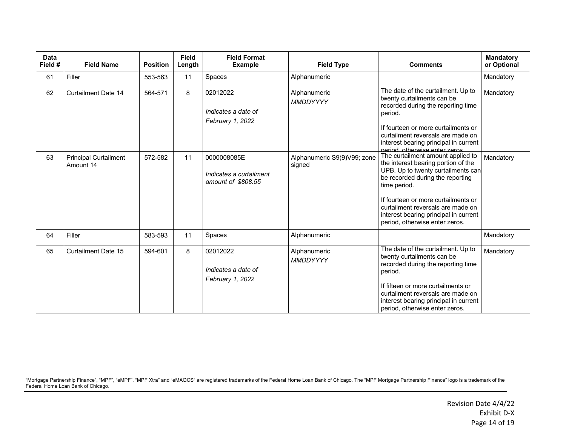| <b>Data</b><br>Field # | <b>Field Name</b>                         | <b>Position</b> | <b>Field</b><br>Length | <b>Field Format</b><br><b>Example</b>                        | <b>Field Type</b>                     | <b>Comments</b>                                                                                                                                                                                                                                                                                                           | <b>Mandatory</b><br>or Optional |
|------------------------|-------------------------------------------|-----------------|------------------------|--------------------------------------------------------------|---------------------------------------|---------------------------------------------------------------------------------------------------------------------------------------------------------------------------------------------------------------------------------------------------------------------------------------------------------------------------|---------------------------------|
| 61                     | Filler                                    | 553-563         | 11                     | Spaces                                                       | Alphanumeric                          |                                                                                                                                                                                                                                                                                                                           | Mandatory                       |
| 62                     | <b>Curtailment Date 14</b>                | 564-571         | 8                      | 02012022<br>Indicates a date of<br>February 1, 2022          | Alphanumeric<br><b>MMDDYYYY</b>       | The date of the curtailment. Up to<br>twenty curtailments can be<br>recorded during the reporting time<br>period.<br>If fourteen or more curtailments or<br>curtailment reversals are made on<br>interest bearing principal in current<br>neriod otherwise enter zeros                                                    | Mandatory                       |
| 63                     | <b>Principal Curtailment</b><br>Amount 14 | 572-582         | 11                     | 0000008085E<br>Indicates a curtailment<br>amount of \$808.55 | Alphanumeric S9(9)V99; zone<br>signed | The curtailment amount applied to<br>the interest bearing portion of the<br>UPB. Up to twenty curtailments can<br>be recorded during the reporting<br>time period.<br>If fourteen or more curtailments or<br>curtailment reversals are made on<br>interest bearing principal in current<br>period, otherwise enter zeros. | Mandatory                       |
| 64                     | Filler                                    | 583-593         | 11                     | Spaces                                                       | Alphanumeric                          |                                                                                                                                                                                                                                                                                                                           | Mandatory                       |
| 65                     | <b>Curtailment Date 15</b>                | 594-601         | 8                      | 02012022<br>Indicates a date of<br>February 1, 2022          | Alphanumeric<br>MMDDYYYY              | The date of the curtailment. Up to<br>twenty curtailments can be<br>recorded during the reporting time<br>period.<br>If fifteen or more curtailments or<br>curtailment reversals are made on<br>interest bearing principal in current<br>period, otherwise enter zeros.                                                   | Mandatory                       |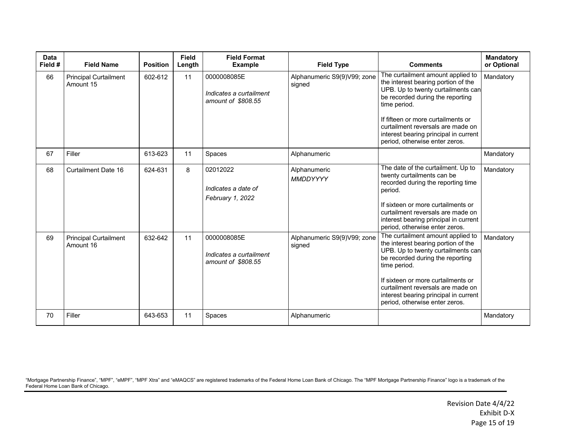| <b>Data</b><br>Field # | <b>Field Name</b>                         | <b>Position</b> | <b>Field</b><br>Length | <b>Field Format</b><br><b>Example</b>                        | <b>Field Type</b>                     | <b>Comments</b>                                                                                                                                                                                                                                                                                                          | <b>Mandatory</b><br>or Optional |
|------------------------|-------------------------------------------|-----------------|------------------------|--------------------------------------------------------------|---------------------------------------|--------------------------------------------------------------------------------------------------------------------------------------------------------------------------------------------------------------------------------------------------------------------------------------------------------------------------|---------------------------------|
| 66                     | <b>Principal Curtailment</b><br>Amount 15 | 602-612         | 11                     | 0000008085E<br>Indicates a curtailment<br>amount of \$808.55 | Alphanumeric S9(9)V99; zone<br>signed | The curtailment amount applied to<br>the interest bearing portion of the<br>UPB. Up to twenty curtailments can<br>be recorded during the reporting<br>time period.<br>If fifteen or more curtailments or<br>curtailment reversals are made on<br>interest bearing principal in current<br>period, otherwise enter zeros. | Mandatory                       |
| 67                     | Filler                                    | 613-623         | 11                     | Spaces                                                       | Alphanumeric                          |                                                                                                                                                                                                                                                                                                                          | Mandatory                       |
| 68                     | <b>Curtailment Date 16</b>                | 624-631         | 8                      | 02012022<br>Indicates a date of<br>February 1, 2022          | Alphanumeric<br><b>MMDDYYYY</b>       | The date of the curtailment. Up to<br>twenty curtailments can be<br>recorded during the reporting time<br>period.<br>If sixteen or more curtailments or<br>curtailment reversals are made on<br>interest bearing principal in current<br>period, otherwise enter zeros.                                                  | Mandatory                       |
| 69                     | <b>Principal Curtailment</b><br>Amount 16 | 632-642         | 11                     | 0000008085E<br>Indicates a curtailment<br>amount of \$808.55 | Alphanumeric S9(9)V99; zone<br>signed | The curtailment amount applied to<br>the interest bearing portion of the<br>UPB. Up to twenty curtailments can<br>be recorded during the reporting<br>time period.<br>If sixteen or more curtailments or<br>curtailment reversals are made on<br>interest bearing principal in current<br>period, otherwise enter zeros. | Mandatory                       |
| 70                     | Filler                                    | 643-653         | 11                     | Spaces                                                       | Alphanumeric                          |                                                                                                                                                                                                                                                                                                                          | Mandatory                       |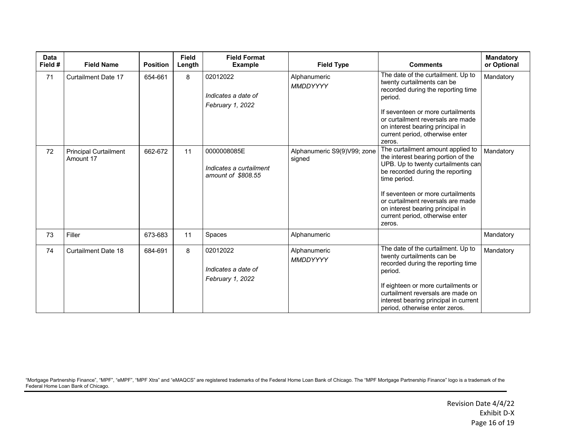| <b>Data</b><br>Field # | <b>Field Name</b>                         | <b>Position</b> | <b>Field</b><br>Length | <b>Field Format</b><br><b>Example</b>                        | <b>Field Type</b>                     | <b>Comments</b>                                                                                                                                                                                                                                                                                                               | <b>Mandatory</b><br>or Optional |
|------------------------|-------------------------------------------|-----------------|------------------------|--------------------------------------------------------------|---------------------------------------|-------------------------------------------------------------------------------------------------------------------------------------------------------------------------------------------------------------------------------------------------------------------------------------------------------------------------------|---------------------------------|
| 71                     | <b>Curtailment Date 17</b>                | 654-661         | 8                      | 02012022<br>Indicates a date of<br>February 1, 2022          | Alphanumeric<br><b>MMDDYYYY</b>       | The date of the curtailment. Up to<br>twenty curtailments can be<br>recorded during the reporting time<br>period.<br>If seventeen or more curtailments<br>or curtailment reversals are made<br>on interest bearing principal in<br>current period, otherwise enter<br>zeros.                                                  | Mandatory                       |
| 72                     | <b>Principal Curtailment</b><br>Amount 17 | 662-672         | 11                     | 0000008085E<br>Indicates a curtailment<br>amount of \$808.55 | Alphanumeric S9(9)V99; zone<br>signed | The curtailment amount applied to<br>the interest bearing portion of the<br>UPB. Up to twenty curtailments can<br>be recorded during the reporting<br>time period.<br>If seventeen or more curtailments<br>or curtailment reversals are made<br>on interest bearing principal in<br>current period, otherwise enter<br>zeros. | Mandatory                       |
| 73                     | Filler                                    | 673-683         | 11                     | Spaces                                                       | Alphanumeric                          |                                                                                                                                                                                                                                                                                                                               | Mandatory                       |
| 74                     | <b>Curtailment Date 18</b>                | 684-691         | 8                      | 02012022<br>Indicates a date of<br>February 1, 2022          | Alphanumeric<br>MMDDYYYY              | The date of the curtailment. Up to<br>twenty curtailments can be<br>recorded during the reporting time<br>period.<br>If eighteen or more curtailments or<br>curtailment reversals are made on<br>interest bearing principal in current<br>period, otherwise enter zeros.                                                      | Mandatory                       |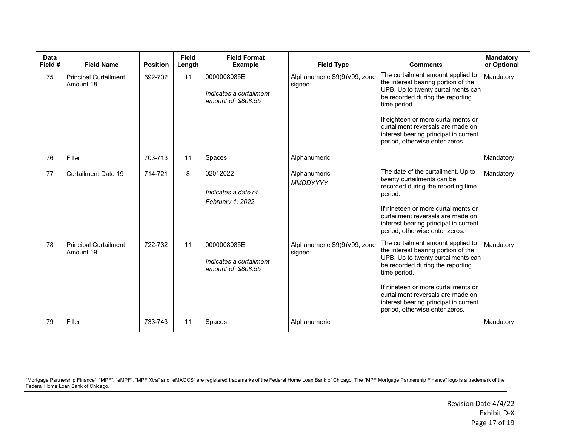| <b>Data</b><br>Field # | <b>Field Name</b>                         | <b>Position</b> | <b>Field</b><br>Length | <b>Field Format</b><br><b>Example</b>                        | <b>Field Type</b>                     | <b>Comments</b>                                                                                                                                                                                                                                                                                                           | <b>Mandatory</b><br>or Optional |
|------------------------|-------------------------------------------|-----------------|------------------------|--------------------------------------------------------------|---------------------------------------|---------------------------------------------------------------------------------------------------------------------------------------------------------------------------------------------------------------------------------------------------------------------------------------------------------------------------|---------------------------------|
| 75                     | <b>Principal Curtailment</b><br>Amount 18 | 692-702         | 11                     | 0000008085E<br>Indicates a curtailment<br>amount of \$808.55 | Alphanumeric S9(9)V99; zone<br>signed | The curtailment amount applied to<br>the interest bearing portion of the<br>UPB. Up to twenty curtailments can<br>be recorded during the reporting<br>time period.<br>If eighteen or more curtailments or<br>curtailment reversals are made on<br>interest bearing principal in current<br>period, otherwise enter zeros. | Mandatory                       |
| 76                     | Filler                                    | 703-713         | 11                     | Spaces                                                       | Alphanumeric                          |                                                                                                                                                                                                                                                                                                                           | Mandatory                       |
| 77                     | <b>Curtailment Date 19</b>                | 714-721         | 8                      | 02012022<br>Indicates a date of<br>February 1, 2022          | Alphanumeric<br>MMDDYYYY              | The date of the curtailment. Up to<br>twenty curtailments can be<br>recorded during the reporting time<br>period.<br>If nineteen or more curtailments or<br>curtailment reversals are made on<br>interest bearing principal in current<br>period, otherwise enter zeros.                                                  | Mandatory                       |
| 78                     | <b>Principal Curtailment</b><br>Amount 19 | 722-732         | 11                     | 0000008085E<br>Indicates a curtailment<br>amount of \$808.55 | Alphanumeric S9(9)V99; zone<br>signed | The curtailment amount applied to<br>the interest bearing portion of the<br>UPB. Up to twenty curtailments can<br>be recorded during the reporting<br>time period.<br>If nineteen or more curtailments or<br>curtailment reversals are made on<br>interest bearing principal in current<br>period, otherwise enter zeros. | Mandatory                       |
| 79                     | Filler                                    | 733-743         | 11                     | Spaces                                                       | Alphanumeric                          |                                                                                                                                                                                                                                                                                                                           | Mandatory                       |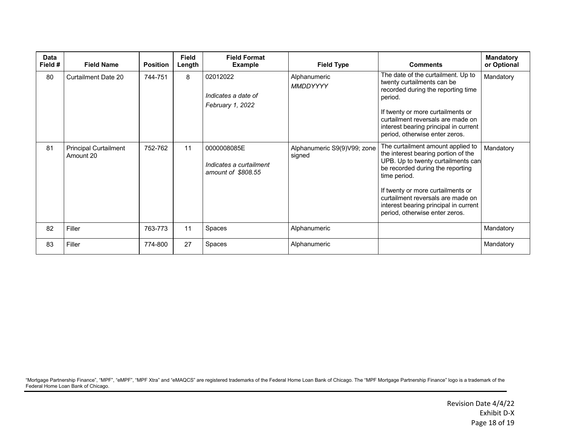| Data<br>Field # | <b>Field Name</b>                         | <b>Position</b> | Field<br>Length | <b>Field Format</b><br><b>Example</b>                        | <b>Field Type</b>                     | <b>Comments</b>                                                                                                                                                                                                                                                                                                         | <b>Mandatory</b><br>or Optional |
|-----------------|-------------------------------------------|-----------------|-----------------|--------------------------------------------------------------|---------------------------------------|-------------------------------------------------------------------------------------------------------------------------------------------------------------------------------------------------------------------------------------------------------------------------------------------------------------------------|---------------------------------|
| 80              | Curtailment Date 20                       | 744-751         | 8               | 02012022<br>Indicates a date of<br>February 1, 2022          | Alphanumeric<br>MMDDYYYY              | The date of the curtailment. Up to<br>twenty curtailments can be<br>recorded during the reporting time<br>period.<br>If twenty or more curtailments or<br>curtailment reversals are made on<br>interest bearing principal in current<br>period, otherwise enter zeros.                                                  | Mandatory                       |
| 81              | <b>Principal Curtailment</b><br>Amount 20 | 752-762         | 11              | 0000008085E<br>Indicates a curtailment<br>amount of \$808.55 | Alphanumeric S9(9)V99; zone<br>signed | The curtailment amount applied to<br>the interest bearing portion of the<br>UPB. Up to twenty curtailments can<br>be recorded during the reporting<br>time period.<br>If twenty or more curtailments or<br>curtailment reversals are made on<br>interest bearing principal in current<br>period, otherwise enter zeros. | Mandatory                       |
| 82              | Filler                                    | 763-773         | 11              | Spaces                                                       | Alphanumeric                          |                                                                                                                                                                                                                                                                                                                         | Mandatory                       |
| 83              | Filler                                    | 774-800         | 27              | Spaces                                                       | Alphanumeric                          |                                                                                                                                                                                                                                                                                                                         | Mandatory                       |